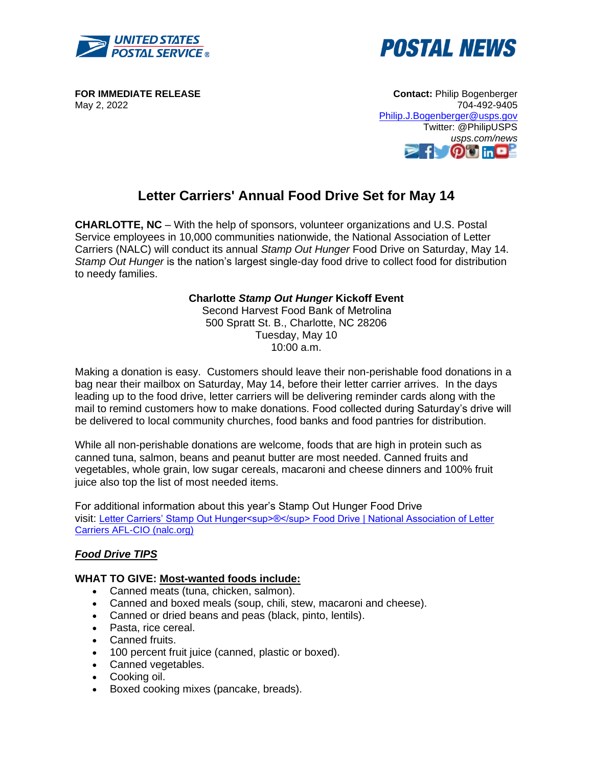



**FOR IMMEDIATE RELEASE** May 2, 2022

**Contact:** Philip Bogenberger 704-492-9405 [Philip.J.Bogenberger@usps.gov](mailto:Philip.J.Bogenberger@usps.gov) Twitter: @PhilipUSPS *usps.com/news* **OF** in **D** 

# **Letter Carriers' Annual Food Drive Set for May 14**

**CHARLOTTE, NC** – With the help of sponsors, volunteer organizations and U.S. Postal Service employees in 10,000 communities nationwide, the National Association of Letter Carriers (NALC) will conduct its annual *Stamp Out Hunger* Food Drive on Saturday, May 14. *Stamp Out Hunger* is the nation's largest single-day food drive to collect food for distribution to needy families.

## **Charlotte** *Stamp Out Hunger* **Kickoff Event**

Second Harvest Food Bank of Metrolina 500 Spratt St. B., Charlotte, NC 28206 Tuesday, May 10 10:00 a.m.

Making a donation is easy. Customers should leave their non-perishable food donations in a bag near their mailbox on Saturday, May 14, before their letter carrier arrives. In the days leading up to the food drive, letter carriers will be delivering reminder cards along with the mail to remind customers how to make donations. Food collected during Saturday's drive will be delivered to local community churches, food banks and food pantries for distribution.

While all non-perishable donations are welcome, foods that are high in protein such as canned tuna, salmon, beans and peanut butter are most needed. Canned fruits and vegetables, whole grain, low sugar cereals, macaroni and cheese dinners and 100% fruit juice also top the list of most needed items.

For additional information about this year's Stamp Out Hunger Food Drive visit: Letter Carriers' Stamp Out Hunger<sup><sup>®</sup> Food Drive | National Association of Letter</sup> [Carriers AFL-CIO \(nalc.org\)](https://www.nalc.org/community-service/food-drive)

# *Food Drive TIPS*

#### **WHAT TO GIVE: Most-wanted foods include:**

- Canned meats (tuna, chicken, salmon).
- Canned and boxed meals (soup, chili, stew, macaroni and cheese).
- Canned or dried beans and peas (black, pinto, lentils).
- Pasta, rice cereal.
- Canned fruits.
- 100 percent fruit juice (canned, plastic or boxed).
- Canned vegetables.
- Cooking oil.
- Boxed cooking mixes (pancake, breads).